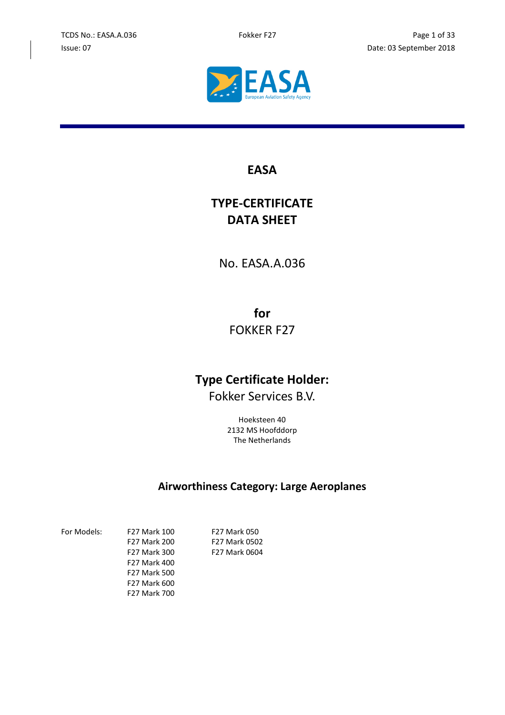

## **EASA**

# **TYPE-CERTIFICATE DATA SHEET**

No. EASA.A.036

**for**  FOKKER F27

# **Type Certificate Holder:**

Fokker Services B.V.

Hoeksteen 40 2132 MS Hoofddorp The Netherlands

## **Airworthiness Category: Large Aeroplanes**

For Models: F27 Mark 100 F27 Mark 050

 F27 Mark 200 F27 Mark 0502 F27 Mark 300 F27 Mark 0604 F27 Mark 400 F27 Mark 500 F27 Mark 600 F27 Mark 700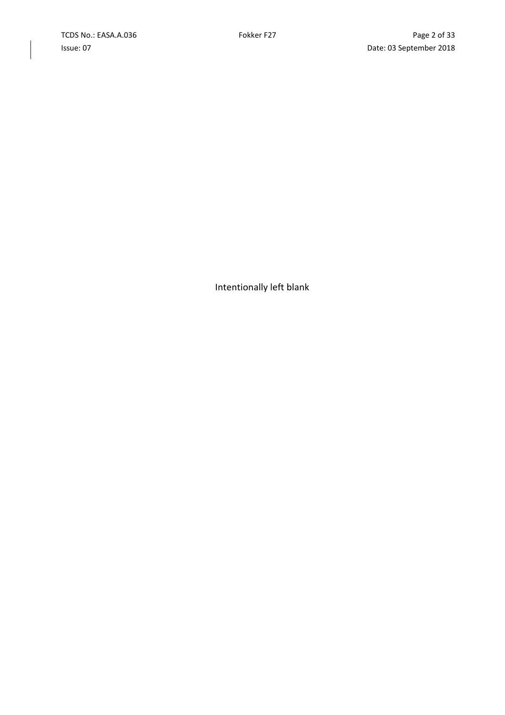Intentionally left blank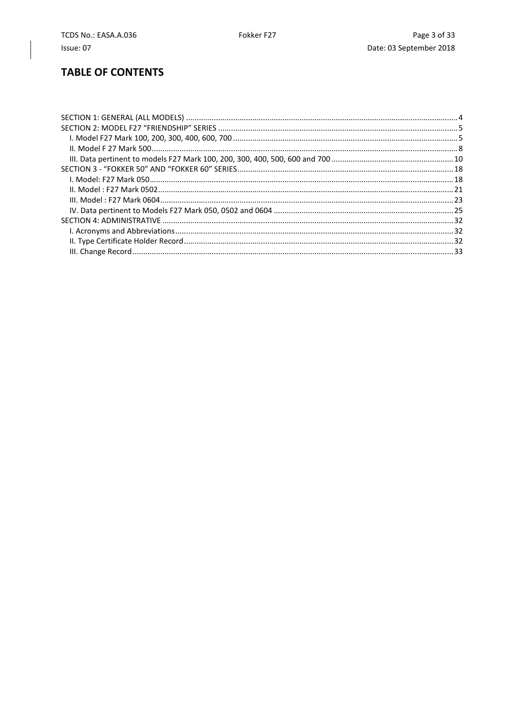## **TABLE OF CONTENTS**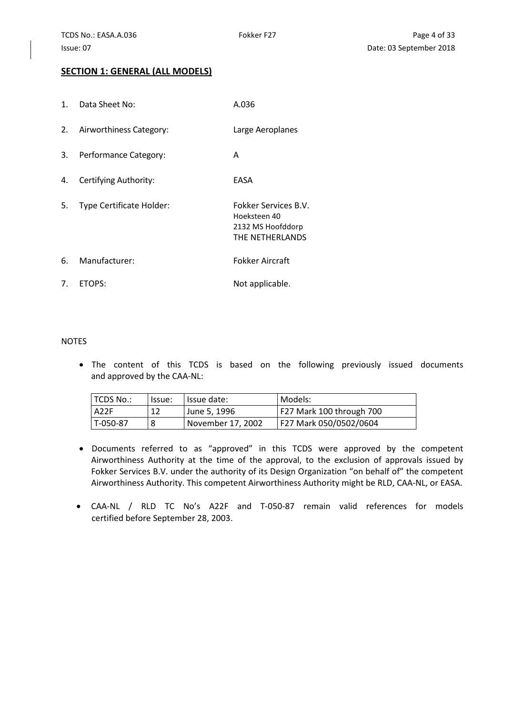#### **SECTION 1: GENERAL (ALL MODELS)**

|                | 1. Data Sheet No:          | A.036                                                                        |
|----------------|----------------------------|------------------------------------------------------------------------------|
|                | 2. Airworthiness Category: | Large Aeroplanes                                                             |
|                | 3. Performance Category:   | A                                                                            |
| 4.             | Certifying Authority:      | EASA                                                                         |
| 5.             | Type Certificate Holder:   | Fokker Services B.V.<br>Hoeksteen 40<br>2132 MS Hoofddorp<br>THE NETHERLANDS |
|                | 6. Manufacturer:           | Fokker Aircraft                                                              |
| 7 <sub>1</sub> | ETOPS:                     | Not applicable.                                                              |

#### NOTES

• The content of this TCDS is based on the following previously issued documents and approved by the CAA-NL:

| l TCDS No.: | lssue: | l Issue date:     | Models:                         |
|-------------|--------|-------------------|---------------------------------|
| A22F        | 12     | l June 5, 1996    | <b>F27 Mark 100 through 700</b> |
| l T-050-87  |        | November 17, 2002 | F27 Mark 050/0502/0604          |

- Documents referred to as "approved" in this TCDS were approved by the competent Airworthiness Authority at the time of the approval, to the exclusion of approvals issued by Fokker Services B.V. under the authority of its Design Organization "on behalf of" the competent Airworthiness Authority. This competent Airworthiness Authority might be RLD, CAA-NL, or EASA.
- CAA-NL / RLD TC No's A22F and T-050-87 remain valid references for models certified before September 28, 2003.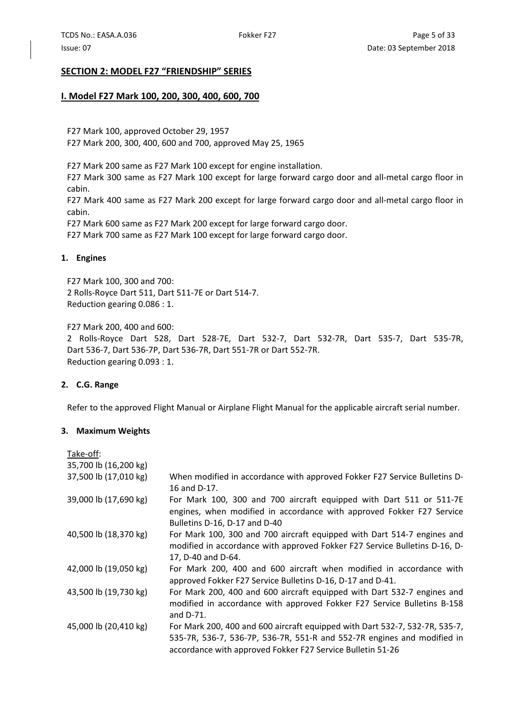#### **SECTION 2: MODEL F27 "FRIENDSHIP" SERIES**

#### **I. Model F27 Mark 100, 200, 300, 400, 600, 700**

F27 Mark 100, approved October 29, 1957

F27 Mark 200, 300, 400, 600 and 700, approved May 25, 1965

F27 Mark 200 same as F27 Mark 100 except for engine installation.

F27 Mark 300 same as F27 Mark 100 except for large forward cargo door and all-metal cargo floor in cabin.

F27 Mark 400 same as F27 Mark 200 except for large forward cargo door and all-metal cargo floor in cabin.

F27 Mark 600 same as F27 Mark 200 except for large forward cargo door.

F27 Mark 700 same as F27 Mark 100 except for large forward cargo door.

#### **1. Engines**

F27 Mark 100, 300 and 700: 2 Rolls-Royce Dart 511, Dart 511-7E or Dart 514-7. Reduction gearing 0.086 : 1.

F27 Mark 200, 400 and 600:

2 Rolls-Royce Dart 528, Dart 528-7E, Dart 532-7, Dart 532-7R, Dart 535-7, Dart 535-7R, Dart 536-7, Dart 536-7P, Dart 536-7R, Dart 551-7R or Dart 552-7R. Reduction gearing 0.093 : 1.

#### **2. C.G. Range**

Refer to the approved Flight Manual or Airplane Flight Manual for the applicable aircraft serial number.

#### **3. Maximum Weights**

| Take-off:             |                                                                                                                                                                                                                      |
|-----------------------|----------------------------------------------------------------------------------------------------------------------------------------------------------------------------------------------------------------------|
| 35,700 lb (16,200 kg) |                                                                                                                                                                                                                      |
| 37,500 lb (17,010 kg) | When modified in accordance with approved Fokker F27 Service Bulletins D-<br>16 and D-17.                                                                                                                            |
| 39,000 lb (17,690 kg) | For Mark 100, 300 and 700 aircraft equipped with Dart 511 or 511-7E<br>engines, when modified in accordance with approved Fokker F27 Service<br>Bulletins D-16, D-17 and D-40                                        |
| 40,500 lb (18,370 kg) | For Mark 100, 300 and 700 aircraft equipped with Dart 514-7 engines and<br>modified in accordance with approved Fokker F27 Service Bulletins D-16, D-<br>17, D-40 and D-64.                                          |
| 42,000 lb (19,050 kg) | For Mark 200, 400 and 600 aircraft when modified in accordance with<br>approved Fokker F27 Service Bulletins D-16, D-17 and D-41.                                                                                    |
| 43,500 lb (19,730 kg) | For Mark 200, 400 and 600 aircraft equipped with Dart 532-7 engines and<br>modified in accordance with approved Fokker F27 Service Bulletins B-158<br>and D-71.                                                      |
| 45,000 lb (20,410 kg) | For Mark 200, 400 and 600 aircraft equipped with Dart 532-7, 532-7R, 535-7,<br>535-7R, 536-7, 536-7P, 536-7R, 551-R and 552-7R engines and modified in<br>accordance with approved Fokker F27 Service Bulletin 51-26 |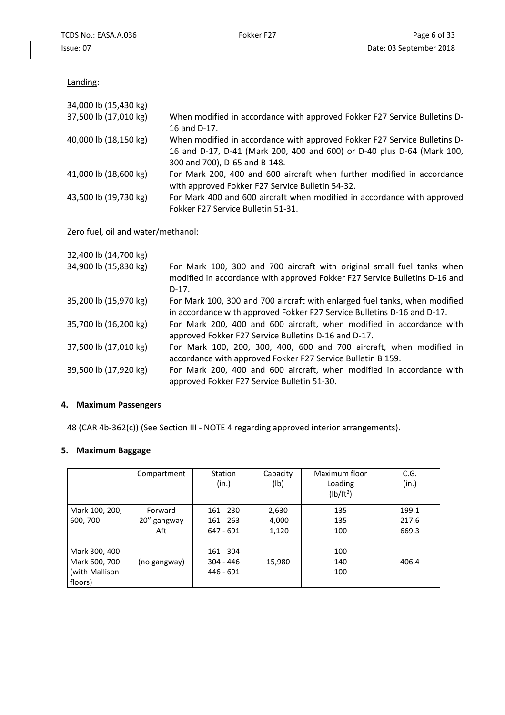Landing:

| 34,000 lb (15,430 kg) |                                                                                                                            |
|-----------------------|----------------------------------------------------------------------------------------------------------------------------|
| 37,500 lb (17,010 kg) | When modified in accordance with approved Fokker F27 Service Bulletins D-<br>16 and D-17.                                  |
| 40,000 lb (18,150 kg) | When modified in accordance with approved Fokker F27 Service Bulletins D-                                                  |
|                       | 16 and D-17, D-41 (Mark 200, 400 and 600) or D-40 plus D-64 (Mark 100,<br>300 and 700), D-65 and B-148.                    |
| 41,000 lb (18,600 kg) | For Mark 200, 400 and 600 aircraft when further modified in accordance<br>with approved Fokker F27 Service Bulletin 54-32. |
| 43,500 lb (19,730 kg) | For Mark 400 and 600 aircraft when modified in accordance with approved<br>Fokker F27 Service Bulletin 51-31.              |

Zero fuel, oil and water/methanol:

| 32,400 lb (14,700 kg) |                                                                                                                                                                 |
|-----------------------|-----------------------------------------------------------------------------------------------------------------------------------------------------------------|
| 34,900 lb (15,830 kg) | For Mark 100, 300 and 700 aircraft with original small fuel tanks when<br>modified in accordance with approved Fokker F27 Service Bulletins D-16 and<br>$D-17.$ |
| 35,200 lb (15,970 kg) | For Mark 100, 300 and 700 aircraft with enlarged fuel tanks, when modified<br>in accordance with approved Fokker F27 Service Bulletins D-16 and D-17.           |
| 35,700 lb (16,200 kg) | For Mark 200, 400 and 600 aircraft, when modified in accordance with<br>approved Fokker F27 Service Bulletins D-16 and D-17.                                    |
| 37,500 lb (17,010 kg) | For Mark 100, 200, 300, 400, 600 and 700 aircraft, when modified in<br>accordance with approved Fokker F27 Service Bulletin B 159.                              |
| 39,500 lb (17,920 kg) | For Mark 200, 400 and 600 aircraft, when modified in accordance with<br>approved Fokker F27 Service Bulletin 51-30.                                             |

## **4. Maximum Passengers**

48 (CAR 4b-362(c)) (See Section III - NOTE 4 regarding approved interior arrangements).

## **5. Maximum Baggage**

|                                                             | Compartment                   | <b>Station</b><br>(in.)                 | Capacity<br>(1b)        | Maximum floor<br>Loading<br>(lb/ft <sup>2</sup> ) | C.G.<br>(in.)           |
|-------------------------------------------------------------|-------------------------------|-----------------------------------------|-------------------------|---------------------------------------------------|-------------------------|
| Mark 100, 200,<br>600, 700                                  | Forward<br>20" gangway<br>Aft | $161 - 230$<br>$161 - 263$<br>647 - 691 | 2,630<br>4,000<br>1,120 | 135<br>135<br>100                                 | 199.1<br>217.6<br>669.3 |
| Mark 300, 400<br>Mark 600, 700<br>(with Mallison<br>floors) | (no gangway)                  | 161 - 304<br>$304 - 446$<br>446 - 691   | 15,980                  | 100<br>140<br>100                                 | 406.4                   |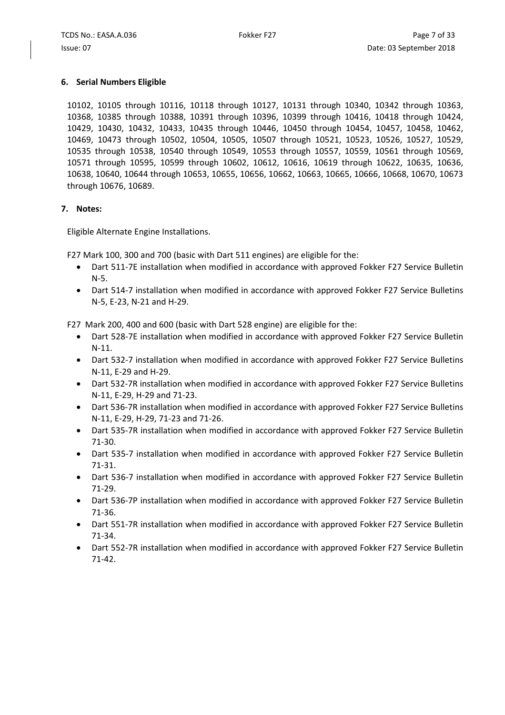#### **6. Serial Numbers Eligible**

10102, 10105 through 10116, 10118 through 10127, 10131 through 10340, 10342 through 10363, 10368, 10385 through 10388, 10391 through 10396, 10399 through 10416, 10418 through 10424, 10429, 10430, 10432, 10433, 10435 through 10446, 10450 through 10454, 10457, 10458, 10462, 10469, 10473 through 10502, 10504, 10505, 10507 through 10521, 10523, 10526, 10527, 10529, 10535 through 10538, 10540 through 10549, 10553 through 10557, 10559, 10561 through 10569, 10571 through 10595, 10599 through 10602, 10612, 10616, 10619 through 10622, 10635, 10636, 10638, 10640, 10644 through 10653, 10655, 10656, 10662, 10663, 10665, 10666, 10668, 10670, 10673 through 10676, 10689.

### **7. Notes:**

Eligible Alternate Engine Installations.

F27 Mark 100, 300 and 700 (basic with Dart 511 engines) are eligible for the:

- Dart 511-7E installation when modified in accordance with approved Fokker F27 Service Bulletin N-5.
- Dart 514-7 installation when modified in accordance with approved Fokker F27 Service Bulletins N-5, E-23, N-21 and H-29.

F27 Mark 200, 400 and 600 (basic with Dart 528 engine) are eligible for the:

- Dart 528-7E installation when modified in accordance with approved Fokker F27 Service Bulletin N-11.
- Dart 532-7 installation when modified in accordance with approved Fokker F27 Service Bulletins N-11, E-29 and H-29.
- Dart 532-7R installation when modified in accordance with approved Fokker F27 Service Bulletins N-11, E-29, H-29 and 71-23.
- Dart 536-7R installation when modified in accordance with approved Fokker F27 Service Bulletins N-11, E-29, H-29, 71-23 and 71-26.
- Dart 535-7R installation when modified in accordance with approved Fokker F27 Service Bulletin 71-30.
- Dart 535-7 installation when modified in accordance with approved Fokker F27 Service Bulletin 71-31.
- Dart 536-7 installation when modified in accordance with approved Fokker F27 Service Bulletin 71-29.
- Dart 536-7P installation when modified in accordance with approved Fokker F27 Service Bulletin 71-36.
- Dart 551-7R installation when modified in accordance with approved Fokker F27 Service Bulletin 71-34.
- Dart 552-7R installation when modified in accordance with approved Fokker F27 Service Bulletin 71-42.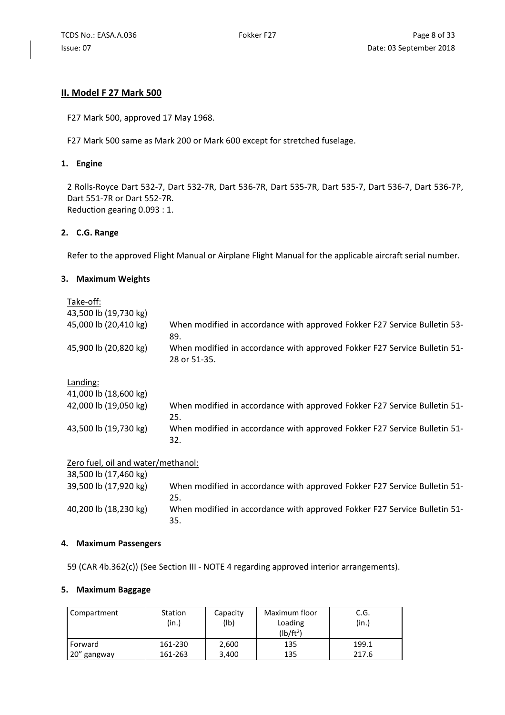## **II. Model F 27 Mark 500**

F27 Mark 500, approved 17 May 1968.

F27 Mark 500 same as Mark 200 or Mark 600 except for stretched fuselage.

#### **1. Engine**

2 Rolls-Royce Dart 532-7, Dart 532-7R, Dart 536-7R, Dart 535-7R, Dart 535-7, Dart 536-7, Dart 536-7P, Dart 551-7R or Dart 552-7R. Reduction gearing 0.093 : 1.

#### **2. C.G. Range**

Refer to the approved Flight Manual or Airplane Flight Manual for the applicable aircraft serial number.

#### **3. Maximum Weights**

| Take-off:<br>43,500 lb (19,730 kg) |                                                                                           |
|------------------------------------|-------------------------------------------------------------------------------------------|
| 45,000 lb (20,410 kg)              | When modified in accordance with approved Fokker F27 Service Bulletin 53-<br>89.          |
| 45,900 lb (20,820 kg)              | When modified in accordance with approved Fokker F27 Service Bulletin 51-<br>28 or 51-35. |
| Landing:                           |                                                                                           |
| 41,000 lb (18,600 kg)              |                                                                                           |
| 42,000 lb (19,050 kg)              | When modified in accordance with approved Fokker F27 Service Bulletin 51-<br>25.          |
| 43,500 lb (19,730 kg)              | When modified in accordance with approved Fokker F27 Service Bulletin 51-<br>32.          |
| Zero fuel, oil and water/methanol: |                                                                                           |
| 38,500 lb (17,460 kg)              |                                                                                           |
| 39,500 lb (17,920 kg)              | When modified in accordance with approved Fokker F27 Service Bulletin 51-<br>25.          |
| 40,200 lb (18,230 kg)              | When modified in accordance with approved Fokker F27 Service Bulletin 51-                 |

#### **4. Maximum Passengers**

59 (CAR 4b.362(c)) (See Section III - NOTE 4 regarding approved interior arrangements).

35.

#### **5. Maximum Baggage**

| Compartment | Station<br>(in.) | Capacity<br>(lb) | Maximum floor<br>Loading<br>(lb/ft <sup>2</sup> ) | C.G.<br>(in.) |
|-------------|------------------|------------------|---------------------------------------------------|---------------|
| Forward     | 161-230          | 2,600            | 135                                               | 199.1         |
| 20" gangway | 161-263          | 3,400            | 135                                               | 217.6         |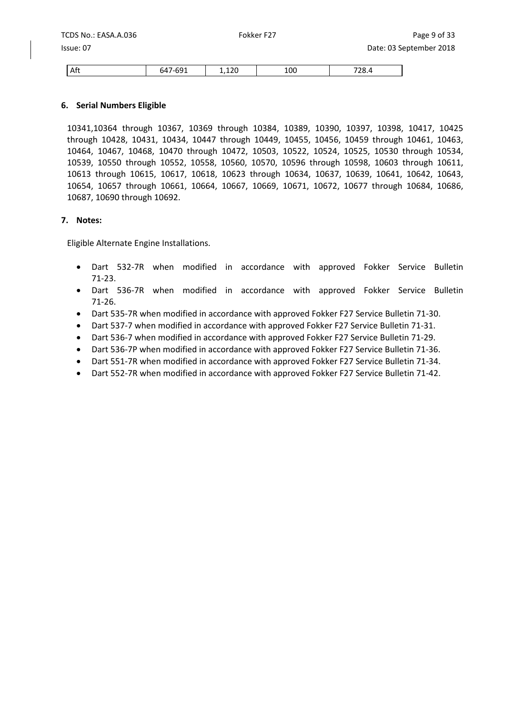| ΔΨ<br><b>AIL</b><br>. | co <sub>1</sub><br>◡◡∸ | $\sim$<br>2,12U | 100 | $\sim$<br>.,<br>720.7 |
|-----------------------|------------------------|-----------------|-----|-----------------------|

#### **6. Serial Numbers Eligible**

10341,10364 through 10367, 10369 through 10384, 10389, 10390, 10397, 10398, 10417, 10425 through 10428, 10431, 10434, 10447 through 10449, 10455, 10456, 10459 through 10461, 10463, 10464, 10467, 10468, 10470 through 10472, 10503, 10522, 10524, 10525, 10530 through 10534, 10539, 10550 through 10552, 10558, 10560, 10570, 10596 through 10598, 10603 through 10611, 10613 through 10615, 10617, 10618, 10623 through 10634, 10637, 10639, 10641, 10642, 10643, 10654, 10657 through 10661, 10664, 10667, 10669, 10671, 10672, 10677 through 10684, 10686, 10687, 10690 through 10692.

#### **7. Notes:**

Eligible Alternate Engine Installations.

- Dart 532-7R when modified in accordance with approved Fokker Service Bulletin 71-23.
- Dart 536-7R when modified in accordance with approved Fokker Service Bulletin 71-26.
- Dart 535-7R when modified in accordance with approved Fokker F27 Service Bulletin 71-30.
- Dart 537-7 when modified in accordance with approved Fokker F27 Service Bulletin 71-31.
- Dart 536-7 when modified in accordance with approved Fokker F27 Service Bulletin 71-29.
- Dart 536-7P when modified in accordance with approved Fokker F27 Service Bulletin 71-36.
- Dart 551-7R when modified in accordance with approved Fokker F27 Service Bulletin 71-34.
- Dart 552-7R when modified in accordance with approved Fokker F27 Service Bulletin 71-42.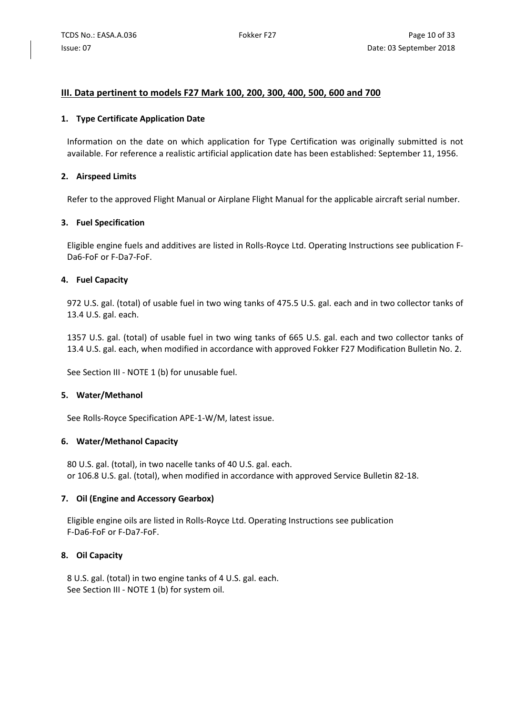## **III. Data pertinent to models F27 Mark 100, 200, 300, 400, 500, 600 and 700**

#### **1. Type Certificate Application Date**

Information on the date on which application for Type Certification was originally submitted is not available. For reference a realistic artificial application date has been established: September 11, 1956.

#### **2. Airspeed Limits**

Refer to the approved Flight Manual or Airplane Flight Manual for the applicable aircraft serial number.

#### **3. Fuel Specification**

Eligible engine fuels and additives are listed in Rolls-Royce Ltd. Operating Instructions see publication F-Da6-FoF or F-Da7-FoF.

#### **4. Fuel Capacity**

972 U.S. gal. (total) of usable fuel in two wing tanks of 475.5 U.S. gal. each and in two collector tanks of 13.4 U.S. gal. each.

1357 U.S. gal. (total) of usable fuel in two wing tanks of 665 U.S. gal. each and two collector tanks of 13.4 U.S. gal. each, when modified in accordance with approved Fokker F27 Modification Bulletin No. 2.

See Section III - NOTE 1 (b) for unusable fuel.

#### **5. Water/Methanol**

See Rolls-Royce Specification APE-1-W/M, latest issue.

#### **6. Water/Methanol Capacity**

80 U.S. gal. (total), in two nacelle tanks of 40 U.S. gal. each. or 106.8 U.S. gal. (total), when modified in accordance with approved Service Bulletin 82-18.

#### **7. Oil (Engine and Accessory Gearbox)**

Eligible engine oils are listed in Rolls-Royce Ltd. Operating Instructions see publication F-Da6-FoF or F-Da7-FoF.

#### **8. Oil Capacity**

8 U.S. gal. (total) in two engine tanks of 4 U.S. gal. each. See Section III - NOTE 1 (b) for system oil.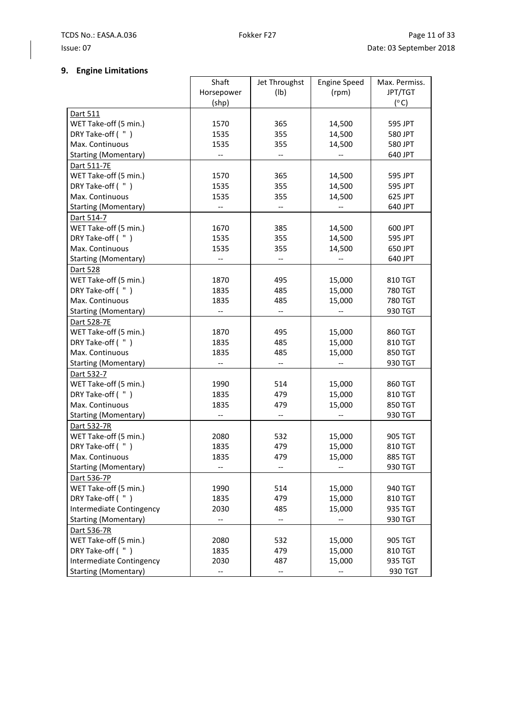## **9. Engine Limitations**

|                                 | Shaft      | Jet Throughst            | <b>Engine Speed</b> | Max. Permiss. |
|---------------------------------|------------|--------------------------|---------------------|---------------|
|                                 | Horsepower | (1b)                     | (rpm)               | JPT/TGT       |
|                                 | (shp)      |                          |                     | $(^{\circ}C)$ |
| <b>Dart 511</b>                 |            |                          |                     |               |
| WET Take-off (5 min.)           | 1570       | 365                      | 14,500              | 595 JPT       |
| DRY Take-off (")                | 1535       | 355                      | 14,500              | 580 JPT       |
| Max. Continuous                 | 1535       | 355                      | 14,500              | 580 JPT       |
| <b>Starting (Momentary)</b>     | --         |                          | --                  | 640 JPT       |
| Dart 511-7E                     |            |                          |                     |               |
| WET Take-off (5 min.)           | 1570       | 365                      | 14,500              | 595 JPT       |
| DRY Take-off (")                | 1535       | 355                      | 14,500              | 595 JPT       |
| Max. Continuous                 | 1535       | 355                      | 14,500              | 625 JPT       |
| <b>Starting (Momentary)</b>     | --         | $\overline{\phantom{a}}$ |                     | 640 JPT       |
| Dart 514-7                      |            |                          |                     |               |
| WET Take-off (5 min.)           | 1670       | 385                      | 14,500              | 600 JPT       |
| DRY Take-off (")                | 1535       | 355                      | 14,500              | 595 JPT       |
| Max. Continuous                 | 1535       | 355                      | 14,500              | 650 JPT       |
| <b>Starting (Momentary)</b>     |            |                          |                     | 640 JPT       |
| <b>Dart 528</b>                 |            |                          |                     |               |
| WET Take-off (5 min.)           | 1870       | 495                      | 15,000              | 810 TGT       |
| DRY Take-off (")                | 1835       | 485                      | 15,000              | 780 TGT       |
| Max. Continuous                 | 1835       | 485                      | 15,000              | 780 TGT       |
| <b>Starting (Momentary)</b>     |            |                          |                     | 930 TGT       |
| Dart 528-7E                     |            |                          |                     |               |
|                                 |            |                          | 15,000              |               |
| WET Take-off (5 min.)           | 1870       | 495                      |                     | 860 TGT       |
| DRY Take-off (")                | 1835       | 485                      | 15,000              | 810 TGT       |
| Max. Continuous                 | 1835       | 485                      | 15,000              | 850 TGT       |
| Starting (Momentary)            |            |                          |                     | 930 TGT       |
| Dart 532-7                      |            |                          |                     |               |
| WET Take-off (5 min.)           | 1990       | 514                      | 15,000              | 860 TGT       |
| DRY Take-off (")                | 1835       | 479                      | 15,000              | 810 TGT       |
| Max. Continuous                 | 1835       | 479                      | 15,000              | 850 TGT       |
| Starting (Momentary)            | --         |                          |                     | 930 TGT       |
| Dart 532-7R                     |            |                          |                     |               |
| WET Take-off (5 min.)           | 2080       | 532                      | 15,000              | 905 TGT       |
| DRY Take-off (")                | 1835       | 479                      | 15,000              | 810 TGT       |
| Max. Continuous                 | 1835       | 479                      | 15,000              | 885 TGT       |
| Starting (Momentary)            |            |                          |                     | 930 TGT       |
| Dart 536-7P                     |            |                          |                     |               |
| WET Take-off (5 min.)           | 1990       | 514                      | 15,000              | 940 TGT       |
| DRY Take-off (")                | 1835       | 479                      | 15,000              | 810 TGT       |
| <b>Intermediate Contingency</b> | 2030       | 485                      | 15,000              | 935 TGT       |
| <b>Starting (Momentary)</b>     |            |                          |                     | 930 TGT       |
| Dart 536-7R                     |            |                          |                     |               |
| WET Take-off (5 min.)           | 2080       | 532                      | 15,000              | 905 TGT       |
| DRY Take-off (")                | 1835       | 479                      | 15,000              | 810 TGT       |
| Intermediate Contingency        | 2030       | 487                      | 15,000              | 935 TGT       |
| <b>Starting (Momentary)</b>     |            |                          |                     | 930 TGT       |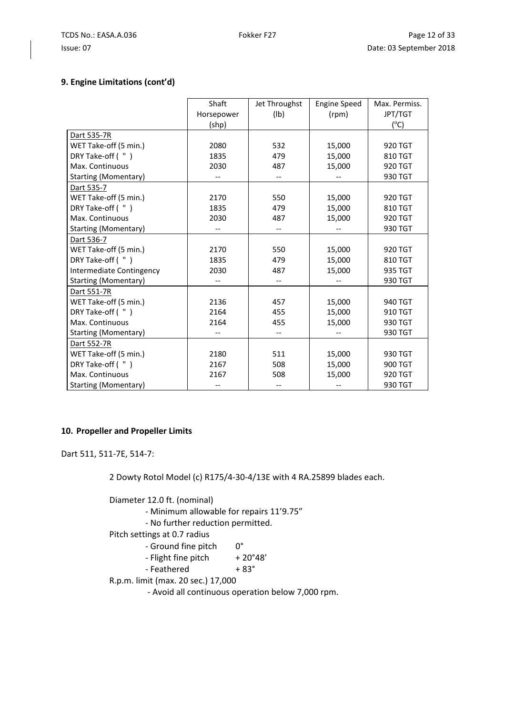## **9. Engine Limitations (cont'd)**

|                             | Shaft      | Jet Throughst            | <b>Engine Speed</b> | Max. Permiss. |
|-----------------------------|------------|--------------------------|---------------------|---------------|
|                             | Horsepower | (1b)                     | (rpm)               | JPT/TGT       |
|                             | (shp)      |                          |                     | (°C)          |
| Dart 535-7R                 |            |                          |                     |               |
| WET Take-off (5 min.)       | 2080       | 532                      | 15,000              | 920 TGT       |
| DRY Take-off (")            | 1835       | 479                      | 15,000              | 810 TGT       |
| Max. Continuous             | 2030       | 487                      | 15,000              | 920 TGT       |
| <b>Starting (Momentary)</b> |            | --                       |                     | 930 TGT       |
| Dart 535-7                  |            |                          |                     |               |
| WET Take-off (5 min.)       | 2170       | 550                      | 15,000              | 920 TGT       |
| DRY Take-off (")            | 1835       | 479                      | 15,000              | 810 TGT       |
| Max. Continuous             | 2030       | 487                      | 15,000              | 920 TGT       |
| <b>Starting (Momentary)</b> |            | $\overline{\phantom{a}}$ |                     | 930 TGT       |
| Dart 536-7                  |            |                          |                     |               |
| WET Take-off (5 min.)       | 2170       | 550                      | 15,000              | 920 TGT       |
| DRY Take-off (")            | 1835       | 479                      | 15,000              | 810 TGT       |
| Intermediate Contingency    | 2030       | 487                      | 15,000              | 935 TGT       |
| <b>Starting (Momentary)</b> |            |                          |                     | 930 TGT       |
| Dart 551-7R                 |            |                          |                     |               |
| WET Take-off (5 min.)       | 2136       | 457                      | 15,000              | 940 TGT       |
| DRY Take-off (")            | 2164       | 455                      | 15,000              | 910 TGT       |
| Max. Continuous             | 2164       | 455                      | 15,000              | 930 TGT       |
| <b>Starting (Momentary)</b> |            |                          |                     | 930 TGT       |
| Dart 552-7R                 |            |                          |                     |               |
| WET Take-off (5 min.)       | 2180       | 511                      | 15,000              | 930 TGT       |
| DRY Take-off (")            | 2167       | 508                      | 15,000              | 900 TGT       |
| Max. Continuous             | 2167       | 508                      | 15,000              | 920 TGT       |
| Starting (Momentary)        |            |                          |                     | 930 TGT       |

#### **10. Propeller and Propeller Limits**

Dart 511, 511-7E, 514-7:

2 Dowty Rotol Model (c) R175/4-30-4/13E with 4 RA.25899 blades each.

Diameter 12.0 ft. (nominal)

- Minimum allowable for repairs 11'9.75"
- No further reduction permitted.

Pitch settings at 0.7 radius

- Ground fine pitch 0°
- Flight fine pitch + 20°48'
- Feathered  $+83^\circ$

R.p.m. limit (max. 20 sec.) 17,000

- Avoid all continuous operation below 7,000 rpm.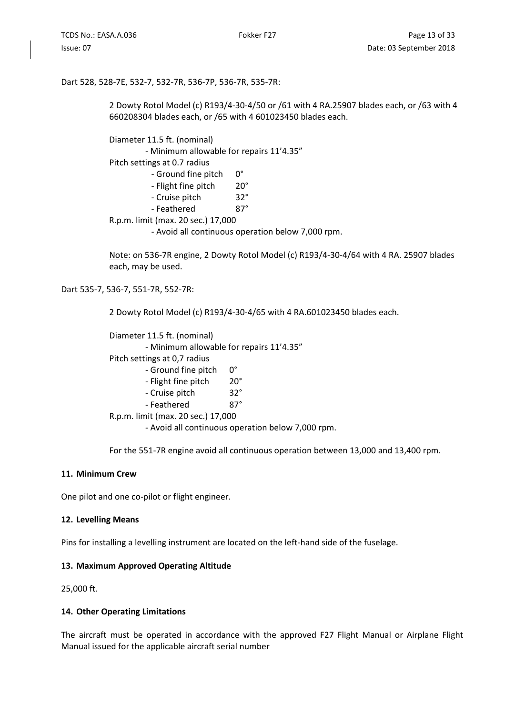Dart 528, 528-7E, 532-7, 532-7R, 536-7P, 536-7R, 535-7R:

 2 Dowty Rotol Model (c) R193/4-30-4/50 or /61 with 4 RA.25907 blades each, or /63 with 4 660208304 blades each, or /65 with 4 601023450 blades each.

Diameter 11.5 ft. (nominal)

- Minimum allowable for repairs 11'4.35"

Pitch settings at 0.7 radius

- Ground fine pitch 0°

- Flight fine pitch 20°
- Cruise pitch 32°
- Feathered 87°

R.p.m. limit (max. 20 sec.) 17,000

- Avoid all continuous operation below 7,000 rpm.

Note: on 536-7R engine, 2 Dowty Rotol Model (c) R193/4-30-4/64 with 4 RA. 25907 blades each, may be used.

Dart 535-7, 536-7, 551-7R, 552-7R:

2 Dowty Rotol Model (c) R193/4-30-4/65 with 4 RA.601023450 blades each.

 Diameter 11.5 ft. (nominal) - Minimum allowable for repairs 11'4.35" Pitch settings at 0,7 radius - Ground fine pitch 0° - Flight fine pitch 20° - Cruise pitch 32° - Feathered 87° R.p.m. limit (max. 20 sec.) 17,000

- Avoid all continuous operation below 7,000 rpm.

For the 551-7R engine avoid all continuous operation between 13,000 and 13,400 rpm.

#### **11. Minimum Crew**

One pilot and one co-pilot or flight engineer.

#### **12. Levelling Means**

Pins for installing a levelling instrument are located on the left-hand side of the fuselage.

#### **13. Maximum Approved Operating Altitude**

25,000 ft.

#### **14. Other Operating Limitations**

The aircraft must be operated in accordance with the approved F27 Flight Manual or Airplane Flight Manual issued for the applicable aircraft serial number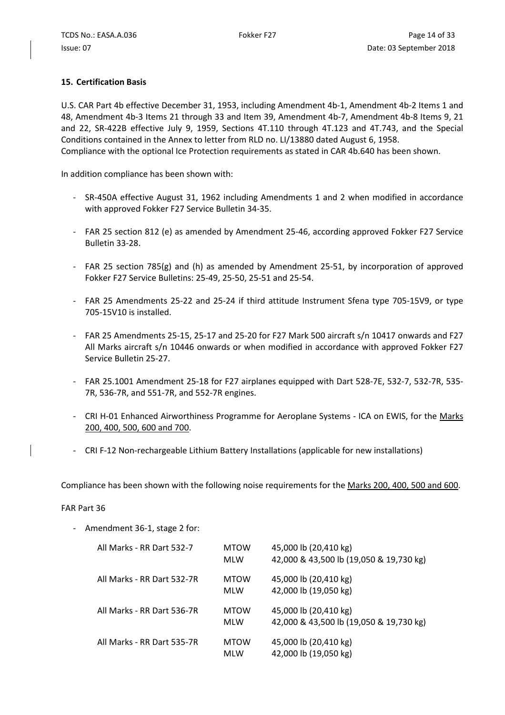## **15. Certification Basis**

U.S. CAR Part 4b effective December 31, 1953, including Amendment 4b-1, Amendment 4b-2 Items 1 and 48, Amendment 4b-3 Items 21 through 33 and Item 39, Amendment 4b-7, Amendment 4b-8 Items 9, 21 and 22, SR-422B effective July 9, 1959, Sections 4T.110 through 4T.123 and 4T.743, and the Special Conditions contained in the Annex to letter from RLD no. LI/13880 dated August 6, 1958. Compliance with the optional Ice Protection requirements as stated in CAR 4b.640 has been shown.

In addition compliance has been shown with:

- SR-450A effective August 31, 1962 including Amendments 1 and 2 when modified in accordance with approved Fokker F27 Service Bulletin 34-35.
- FAR 25 section 812 (e) as amended by Amendment 25-46, according approved Fokker F27 Service Bulletin 33-28.
- FAR 25 section 785(g) and (h) as amended by Amendment 25-51, by incorporation of approved Fokker F27 Service Bulletins: 25-49, 25-50, 25-51 and 25-54.
- FAR 25 Amendments 25-22 and 25-24 if third attitude Instrument Sfena type 705-15V9, or type 705-15V10 is installed.
- FAR 25 Amendments 25-15, 25-17 and 25-20 for F27 Mark 500 aircraft s/n 10417 onwards and F27 All Marks aircraft s/n 10446 onwards or when modified in accordance with approved Fokker F27 Service Bulletin 25-27.
- FAR 25.1001 Amendment 25-18 for F27 airplanes equipped with Dart 528-7E, 532-7, 532-7R, 535- 7R, 536-7R, and 551-7R, and 552-7R engines.
- CRI H-01 Enhanced Airworthiness Programme for Aeroplane Systems ICA on EWIS, for the Marks 200, 400, 500, 600 and 700.
- CRI F-12 Non-rechargeable Lithium Battery Installations (applicable for new installations)

Compliance has been shown with the following noise requirements for the Marks 200, 400, 500 and 600.

#### FAR Part 36

- Amendment 36-1, stage 2 for:

| All Marks - RR Dart 532-7  | <b>MTOW</b><br><b>MLW</b> | 45,000 lb (20,410 kg)<br>42,000 & 43,500 lb (19,050 & 19,730 kg) |
|----------------------------|---------------------------|------------------------------------------------------------------|
| All Marks - RR Dart 532-7R | <b>MTOW</b><br><b>MLW</b> | 45,000 lb (20,410 kg)<br>42,000 lb (19,050 kg)                   |
| All Marks - RR Dart 536-7R | <b>MTOW</b><br><b>MLW</b> | 45,000 lb (20,410 kg)<br>42,000 & 43,500 lb (19,050 & 19,730 kg) |
| All Marks - RR Dart 535-7R | <b>MTOW</b><br><b>MLW</b> | 45,000 lb (20,410 kg)<br>42,000 lb (19,050 kg)                   |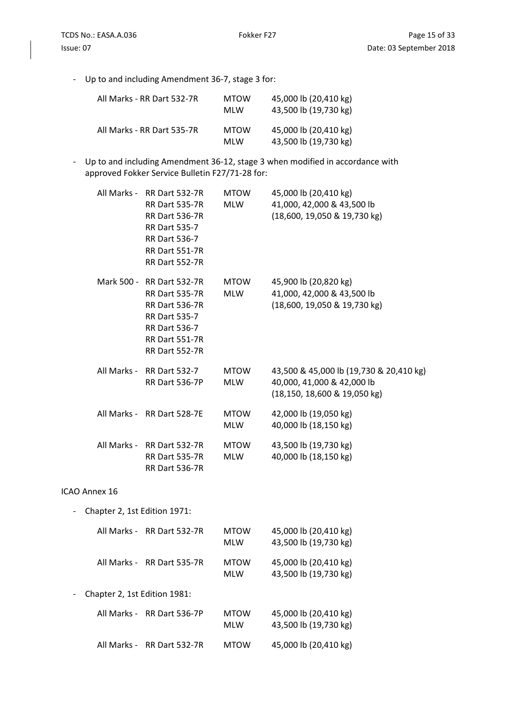- Up to and including Amendment 36-7, stage 3 for:

| All Marks - RR Dart 532-7R | <b>MTOW</b><br><b>MLW</b> | 45,000 lb (20,410 kg)<br>43,500 lb (19,730 kg) |
|----------------------------|---------------------------|------------------------------------------------|
| All Marks - RR Dart 535-7R | <b>MTOW</b><br><b>MLW</b> | 45,000 lb (20,410 kg)<br>43,500 lb (19,730 kg) |

- Up to and including Amendment 36-12, stage 3 when modified in accordance with approved Fokker Service Bulletin F27/71-28 for:

|               | All Marks - | <b>RR Dart 532-7R</b><br><b>RR Dart 535-7R</b><br><b>RR Dart 536-7R</b><br><b>RR Dart 535-7</b><br><b>RR Dart 536-7</b><br><b>RR Dart 551-7R</b><br><b>RR Dart 552-7R</b>     | <b>MTOW</b><br><b>MLW</b> | 45,000 lb (20,410 kg)<br>41,000, 42,000 & 43,500 lb<br>(18,600, 19,050 & 19,730 kg)                   |
|---------------|-------------|-------------------------------------------------------------------------------------------------------------------------------------------------------------------------------|---------------------------|-------------------------------------------------------------------------------------------------------|
|               |             | Mark 500 - RR Dart 532-7R<br><b>RR Dart 535-7R</b><br><b>RR Dart 536-7R</b><br><b>RR Dart 535-7</b><br><b>RR Dart 536-7</b><br><b>RR Dart 551-7R</b><br><b>RR Dart 552-7R</b> | <b>MTOW</b><br><b>MLW</b> | 45,900 lb (20,820 kg)<br>41,000, 42,000 & 43,500 lb<br>(18,600, 19,050 & 19,730 kg)                   |
|               | All Marks - | <b>RR Dart 532-7</b><br><b>RR Dart 536-7P</b>                                                                                                                                 | <b>MTOW</b><br><b>MLW</b> | 43,500 & 45,000 lb (19,730 & 20,410 kg)<br>40,000, 41,000 & 42,000 lb<br>(18,150, 18,600 & 19,050 kg) |
|               |             | All Marks - RR Dart 528-7E                                                                                                                                                    | <b>MTOW</b><br><b>MLW</b> | 42,000 lb (19,050 kg)<br>40,000 lb (18,150 kg)                                                        |
|               | All Marks - | <b>RR Dart 532-7R</b><br><b>RR Dart 535-7R</b><br><b>RR Dart 536-7R</b>                                                                                                       | <b>MTOW</b><br><b>MLW</b> | 43,500 lb (19,730 kg)<br>40,000 lb (18,150 kg)                                                        |
| ICAO Annex 16 |             |                                                                                                                                                                               |                           |                                                                                                       |
|               |             | Chapter 2, 1st Edition 1971:                                                                                                                                                  |                           |                                                                                                       |
|               |             | All Marks - RR Dart 532-7R                                                                                                                                                    | <b>MTOW</b><br><b>MLW</b> | 45,000 lb (20,410 kg)<br>43,500 lb (19,730 kg)                                                        |
|               |             | All Marks - RR Dart 535-7R                                                                                                                                                    | <b>MTOW</b><br><b>MLW</b> | 45,000 lb (20,410 kg)<br>43,500 lb (19,730 kg)                                                        |
|               |             | Chapter 2, 1st Edition 1981:                                                                                                                                                  |                           |                                                                                                       |
|               |             | All Marks - RR Dart 536-7P                                                                                                                                                    | <b>MTOW</b>               | 45,000 lb (20,410 kg)                                                                                 |

MLW 43,500 lb (19,730 kg)

All Marks - RR Dart 532-7R MTOW 45,000 lb (20,410 kg)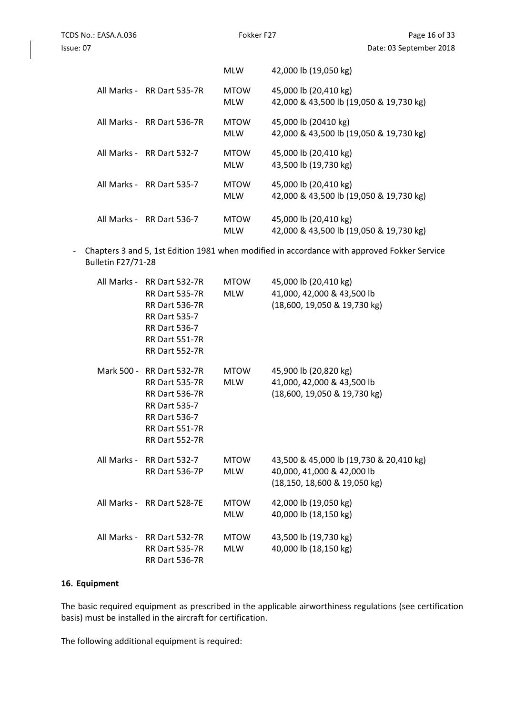|                            | <b>MLW</b>                | 42,000 lb (19,050 kg)                                            |
|----------------------------|---------------------------|------------------------------------------------------------------|
| All Marks - RR Dart 535-7R | <b>MTOW</b><br><b>MLW</b> | 45,000 lb (20,410 kg)<br>42,000 & 43,500 lb (19,050 & 19,730 kg) |
| All Marks - RR Dart 536-7R | <b>MTOW</b><br>MLW        | 45,000 lb (20410 kg)<br>42,000 & 43,500 lb (19,050 & 19,730 kg)  |
| All Marks - RR Dart 532-7  | <b>MTOW</b><br><b>MLW</b> | 45,000 lb (20,410 kg)<br>43,500 lb (19,730 kg)                   |
| All Marks - RR Dart 535-7  | <b>MTOW</b><br><b>MLW</b> | 45,000 lb (20,410 kg)<br>42,000 & 43,500 lb (19,050 & 19,730 kg) |
| All Marks - RR Dart 536-7  | <b>MTOW</b><br><b>MLW</b> | 45,000 lb (20,410 kg)<br>42,000 & 43,500 lb (19,050 & 19,730 kg) |

- Chapters 3 and 5, 1st Edition 1981 when modified in accordance with approved Fokker Service Bulletin F27/71-28

| All Marks - RR Dart 532-7R<br><b>RR Dart 535-7R</b><br><b>RR Dart 536-7R</b><br><b>RR Dart 535-7</b><br><b>RR Dart 536-7</b><br><b>RR Dart 551-7R</b><br><b>RR Dart 552-7R</b> | <b>MTOW</b><br><b>MLW</b> | 45,000 lb (20,410 kg)<br>41,000, 42,000 & 43,500 lb<br>(18,600, 19,050 & 19,730 kg)                   |
|--------------------------------------------------------------------------------------------------------------------------------------------------------------------------------|---------------------------|-------------------------------------------------------------------------------------------------------|
| Mark 500 - RR Dart 532-7R<br><b>RR Dart 535-7R</b><br><b>RR Dart 536-7R</b><br><b>RR Dart 535-7</b><br><b>RR Dart 536-7</b><br><b>RR Dart 551-7R</b><br><b>RR Dart 552-7R</b>  | <b>MTOW</b><br><b>MLW</b> | 45,900 lb (20,820 kg)<br>41,000, 42,000 & 43,500 lb<br>(18,600, 19,050 & 19,730 kg)                   |
| All Marks - RR Dart 532-7<br><b>RR Dart 536-7P</b>                                                                                                                             | <b>MTOW</b><br><b>MLW</b> | 43,500 & 45,000 lb (19,730 & 20,410 kg)<br>40,000, 41,000 & 42,000 lb<br>(18,150, 18,600 & 19,050 kg) |
| All Marks - RR Dart 528-7E                                                                                                                                                     | <b>MTOW</b><br><b>MLW</b> | 42,000 lb (19,050 kg)<br>40,000 lb (18,150 kg)                                                        |
| All Marks - RR Dart 532-7R<br><b>RR Dart 535-7R</b><br><b>RR Dart 536-7R</b>                                                                                                   | <b>MTOW</b><br><b>MLW</b> | 43,500 lb (19,730 kg)<br>40,000 lb (18,150 kg)                                                        |

#### **16. Equipment**

The basic required equipment as prescribed in the applicable airworthiness regulations (see certification basis) must be installed in the aircraft for certification.

The following additional equipment is required: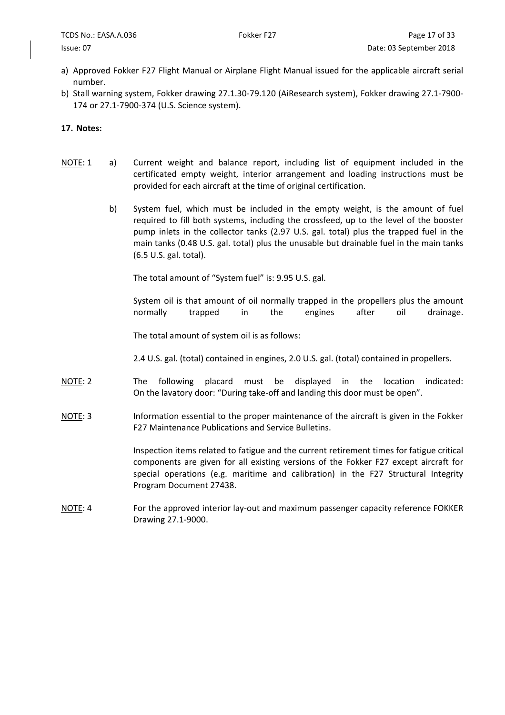- a) Approved Fokker F27 Flight Manual or Airplane Flight Manual issued for the applicable aircraft serial number.
- b) Stall warning system, Fokker drawing 27.1.30-79.120 (AiResearch system), Fokker drawing 27.1-7900- 174 or 27.1-7900-374 (U.S. Science system).

### **17. Notes:**

- NOTE: 1 a) Current weight and balance report, including list of equipment included in the certificated empty weight, interior arrangement and loading instructions must be provided for each aircraft at the time of original certification.
	- b) System fuel, which must be included in the empty weight, is the amount of fuel required to fill both systems, including the crossfeed, up to the level of the booster pump inlets in the collector tanks (2.97 U.S. gal. total) plus the trapped fuel in the main tanks (0.48 U.S. gal. total) plus the unusable but drainable fuel in the main tanks (6.5 U.S. gal. total).

The total amount of "System fuel" is: 9.95 U.S. gal.

System oil is that amount of oil normally trapped in the propellers plus the amount normally trapped in the engines after oil drainage.

The total amount of system oil is as follows:

2.4 U.S. gal. (total) contained in engines, 2.0 U.S. gal. (total) contained in propellers.

- NOTE: 2 The following placard must be displayed in the location indicated: On the lavatory door: "During take-off and landing this door must be open".
- NOTE: 3 Information essential to the proper maintenance of the aircraft is given in the Fokker F27 Maintenance Publications and Service Bulletins.

Inspection items related to fatigue and the current retirement times for fatigue critical components are given for all existing versions of the Fokker F27 except aircraft for special operations (e.g. maritime and calibration) in the F27 Structural Integrity Program Document 27438.

NOTE: 4 For the approved interior lay-out and maximum passenger capacity reference FOKKER Drawing 27.1-9000.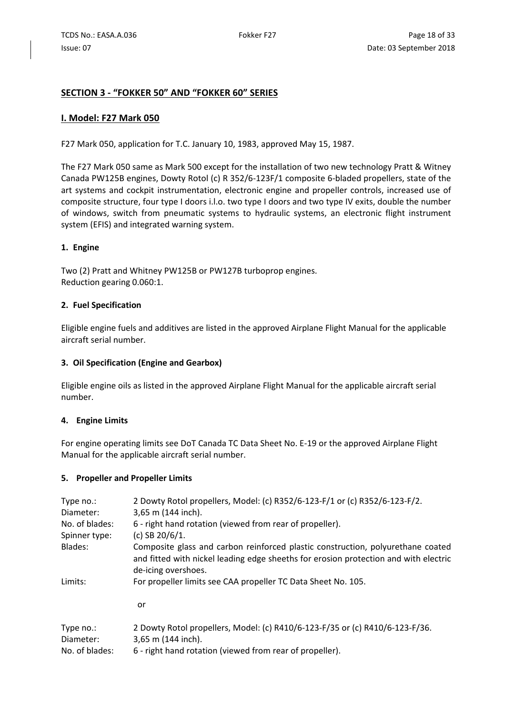## **SECTION 3 - "FOKKER 50" AND "FOKKER 60" SERIES**

#### **I. Model: F27 Mark 050**

F27 Mark 050, application for T.C. January 10, 1983, approved May 15, 1987.

The F27 Mark 050 same as Mark 500 except for the installation of two new technology Pratt & Witney Canada PW125B engines, Dowty Rotol (c) R 352/6-123F/1 composite 6-bladed propellers, state of the art systems and cockpit instrumentation, electronic engine and propeller controls, increased use of composite structure, four type I doors i.l.o. two type I doors and two type IV exits, double the number of windows, switch from pneumatic systems to hydraulic systems, an electronic flight instrument system (EFIS) and integrated warning system.

#### **1. Engine**

Two (2) Pratt and Whitney PW125B or PW127B turboprop engines. Reduction gearing 0.060:1.

#### **2. Fuel Specification**

Eligible engine fuels and additives are listed in the approved Airplane Flight Manual for the applicable aircraft serial number.

#### **3. Oil Specification (Engine and Gearbox)**

Eligible engine oils as listed in the approved Airplane Flight Manual for the applicable aircraft serial number.

#### **4. Engine Limits**

For engine operating limits see DoT Canada TC Data Sheet No. E-19 or the approved Airplane Flight Manual for the applicable aircraft serial number.

#### **5. Propeller and Propeller Limits**

| Type no.:      | 2 Dowty Rotol propellers, Model: (c) R352/6-123-F/1 or (c) R352/6-123-F/2.                                                                                                                     |
|----------------|------------------------------------------------------------------------------------------------------------------------------------------------------------------------------------------------|
| Diameter:      | 3,65 m (144 inch).                                                                                                                                                                             |
| No. of blades: | 6 - right hand rotation (viewed from rear of propeller).                                                                                                                                       |
| Spinner type:  | (c) SB $20/6/1$ .                                                                                                                                                                              |
| Blades:        | Composite glass and carbon reinforced plastic construction, polyurethane coated<br>and fitted with nickel leading edge sheeths for erosion protection and with electric<br>de-icing overshoes. |
| Limits:        | For propeller limits see CAA propeller TC Data Sheet No. 105.                                                                                                                                  |
|                | or                                                                                                                                                                                             |
| Type no.:      | 2 Dowty Rotol propellers, Model: (c) R410/6-123-F/35 or (c) R410/6-123-F/36.                                                                                                                   |
| Diameter:      | 3,65 m (144 inch).                                                                                                                                                                             |
| No. of blades: | 6 - right hand rotation (viewed from rear of propeller).                                                                                                                                       |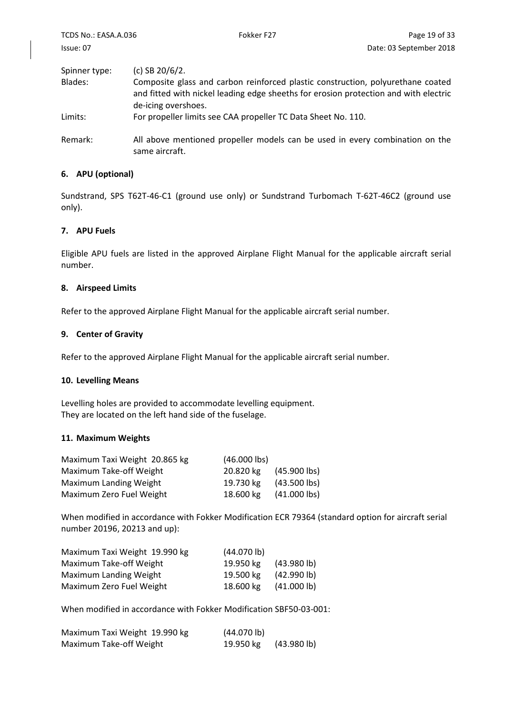| TCDS No.: EASA.A.036 | Fokker F27                                                                                                                                                                                     | Page 19 of 33           |
|----------------------|------------------------------------------------------------------------------------------------------------------------------------------------------------------------------------------------|-------------------------|
| Issue: 07            |                                                                                                                                                                                                | Date: 03 September 2018 |
| Spinner type:        | (c) SB $20/6/2$ .                                                                                                                                                                              |                         |
| Blades:              | Composite glass and carbon reinforced plastic construction, polyurethane coated<br>and fitted with nickel leading edge sheeths for erosion protection and with electric<br>de-icing overshoes. |                         |
| Limits:              | For propeller limits see CAA propeller TC Data Sheet No. 110.                                                                                                                                  |                         |
| Remark:              | All above mentioned propeller models can be used in every combination on the<br>same aircraft.                                                                                                 |                         |

## **6. APU (optional)**

Sundstrand, SPS T62T-46-C1 (ground use only) or Sundstrand Turbomach T-62T-46C2 (ground use only).

#### **7. APU Fuels**

Eligible APU fuels are listed in the approved Airplane Flight Manual for the applicable aircraft serial number.

### **8. Airspeed Limits**

Refer to the approved Airplane Flight Manual for the applicable aircraft serial number.

#### **9. Center of Gravity**

Refer to the approved Airplane Flight Manual for the applicable aircraft serial number.

#### **10. Levelling Means**

Levelling holes are provided to accommodate levelling equipment. They are located on the left hand side of the fuselage.

#### **11. Maximum Weights**

| Maximum Taxi Weight 20.865 kg | $(46.000$ lbs) |                |
|-------------------------------|----------------|----------------|
| Maximum Take-off Weight       | 20.820 kg      | $(45.900$ lbs) |
| Maximum Landing Weight        | 19.730 kg      | $(43.500$ lbs) |
| Maximum Zero Fuel Weight      | 18.600 kg      | $(41.000$ lbs) |

When modified in accordance with Fokker Modification ECR 79364 (standard option for aircraft serial number 20196, 20213 and up):

| Maximum Taxi Weight 19.990 kg | $(44.070 \, lb)$ |             |
|-------------------------------|------------------|-------------|
| Maximum Take-off Weight       | 19.950 kg        | (43.980 lb) |
| Maximum Landing Weight        | 19.500 kg        | (42.990 lb) |
| Maximum Zero Fuel Weight      | 18.600 kg        | (41.000 lb) |

When modified in accordance with Fokker Modification SBF50-03-001:

| Maximum Taxi Weight 19.990 kg | (44.070 lb) |             |
|-------------------------------|-------------|-------------|
| Maximum Take-off Weight       | 19.950 kg   | (43.980 lb) |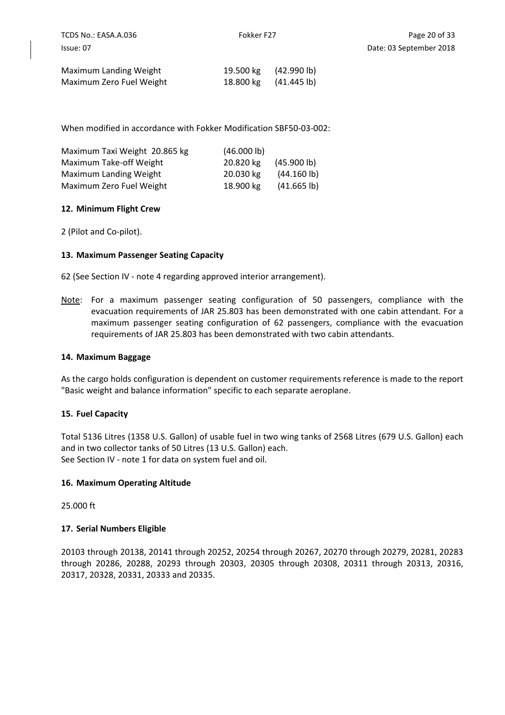| TCDS No.: EASA.A.036  | Fokker F27                       | Page 20 of 33           |
|-----------------------|----------------------------------|-------------------------|
| lssue: 07             |                                  | Date: 03 September 2018 |
| Movimum Londing World | (12.0001)<br>$10.500 \text{ kg}$ |                         |

| Maximum Landing Weight   | 19.500 kg | (42.990 lb) |
|--------------------------|-----------|-------------|
| Maximum Zero Fuel Weight | 18.800 kg | (41.445 lb) |

When modified in accordance with Fokker Modification SBF50-03-002:

| Maximum Taxi Weight 20.865 kg | (46.000 lb) |                  |
|-------------------------------|-------------|------------------|
| Maximum Take-off Weight       | 20.820 kg   | (45.900 lb)      |
| Maximum Landing Weight        | 20.030 kg   | (44.160 lb)      |
| Maximum Zero Fuel Weight      | 18.900 kg   | $(41.665 \, lb)$ |

#### **12. Minimum Flight Crew**

2 (Pilot and Co-pilot).

### **13. Maximum Passenger Seating Capacity**

62 (See Section IV - note 4 regarding approved interior arrangement).

Note: For a maximum passenger seating configuration of 50 passengers, compliance with the evacuation requirements of JAR 25.803 has been demonstrated with one cabin attendant. For a maximum passenger seating configuration of 62 passengers, compliance with the evacuation requirements of JAR 25.803 has been demonstrated with two cabin attendants.

#### **14. Maximum Baggage**

As the cargo holds configuration is dependent on customer requirements reference is made to the report "Basic weight and balance information" specific to each separate aeroplane.

#### **15. Fuel Capacity**

Total 5136 Litres (1358 U.S. Gallon) of usable fuel in two wing tanks of 2568 Litres (679 U.S. Gallon) each and in two collector tanks of 50 Litres (13 U.S. Gallon) each. See Section IV - note 1 for data on system fuel and oil.

#### **16. Maximum Operating Altitude**

25.000 ft

## **17. Serial Numbers Eligible**

20103 through 20138, 20141 through 20252, 20254 through 20267, 20270 through 20279, 20281, 20283 through 20286, 20288, 20293 through 20303, 20305 through 20308, 20311 through 20313, 20316, 20317, 20328, 20331, 20333 and 20335.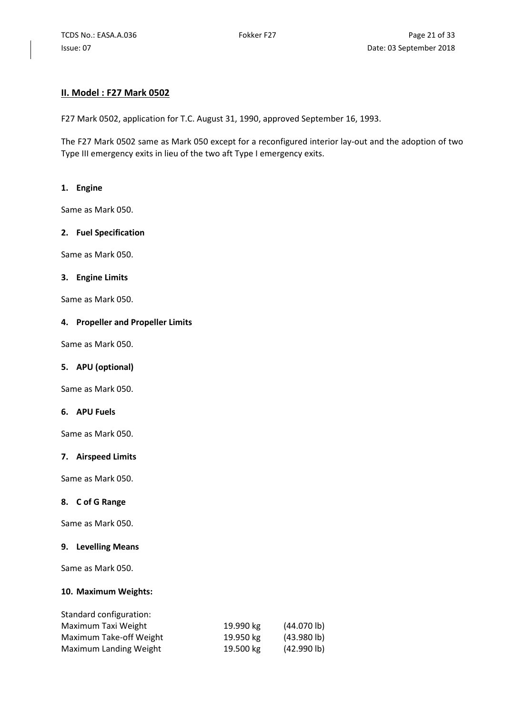## **II. Model : F27 Mark 0502**

F27 Mark 0502, application for T.C. August 31, 1990, approved September 16, 1993.

The F27 Mark 0502 same as Mark 050 except for a reconfigured interior lay-out and the adoption of two Type III emergency exits in lieu of the two aft Type I emergency exits.

#### **1. Engine**

Same as Mark 050.

#### **2. Fuel Specification**

Same as Mark 050.

#### **3. Engine Limits**

Same as Mark 050.

#### **4. Propeller and Propeller Limits**

Same as Mark 050.

#### **5. APU (optional)**

Same as Mark 050.

#### **6. APU Fuels**

Same as Mark 050.

#### **7. Airspeed Limits**

Same as Mark 050.

#### **8. C of G Range**

Same as Mark 050.

#### **9. Levelling Means**

Same as Mark 050.

#### **10. Maximum Weights:**

| Standard configuration: |           |                  |
|-------------------------|-----------|------------------|
| Maximum Taxi Weight     | 19.990 kg | (44.070 lb)      |
| Maximum Take-off Weight | 19.950 kg | (43.980 lb)      |
| Maximum Landing Weight  | 19.500 kg | $(42.990 \, lb)$ |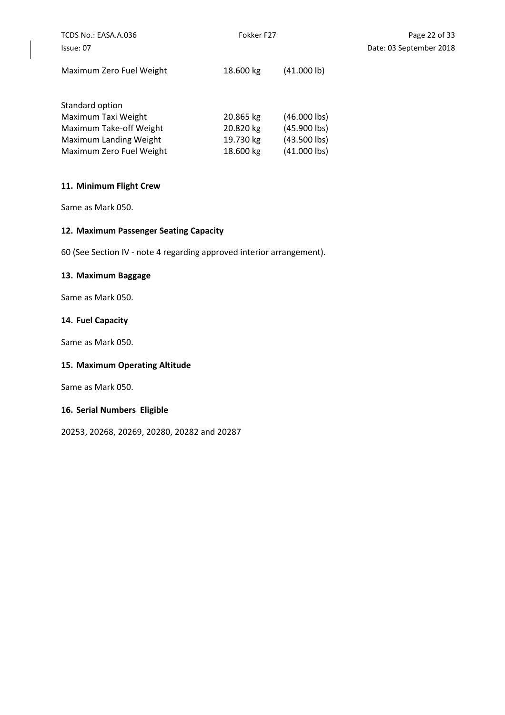| TCDS No.: EASA.A.036<br>Issue: 07 | Fokker F27 |                | Page 22 of 33<br>Date: 03 September 2018 |
|-----------------------------------|------------|----------------|------------------------------------------|
| Maximum Zero Fuel Weight          | 18.600 kg  | (41.000 lb)    |                                          |
| Standard option                   |            |                |                                          |
| Maximum Taxi Weight               | 20.865 kg  | $(46.000$ lbs) |                                          |
| Maximum Take-off Weight           | 20.820 kg  | (45.900 lbs)   |                                          |
| Maximum Landing Weight            | 19.730 kg  | (43.500 lbs)   |                                          |
| Maximum Zero Fuel Weight          | 18.600 kg  | (41.000 lbs)   |                                          |

#### **11. Minimum Flight Crew**

Same as Mark 050.

#### **12. Maximum Passenger Seating Capacity**

60 (See Section IV - note 4 regarding approved interior arrangement).

#### **13. Maximum Baggage**

Same as Mark 050.

#### **14. Fuel Capacity**

Same as Mark 050.

#### **15. Maximum Operating Altitude**

Same as Mark 050.

#### **16. Serial Numbers Eligible**

20253, 20268, 20269, 20280, 20282 and 20287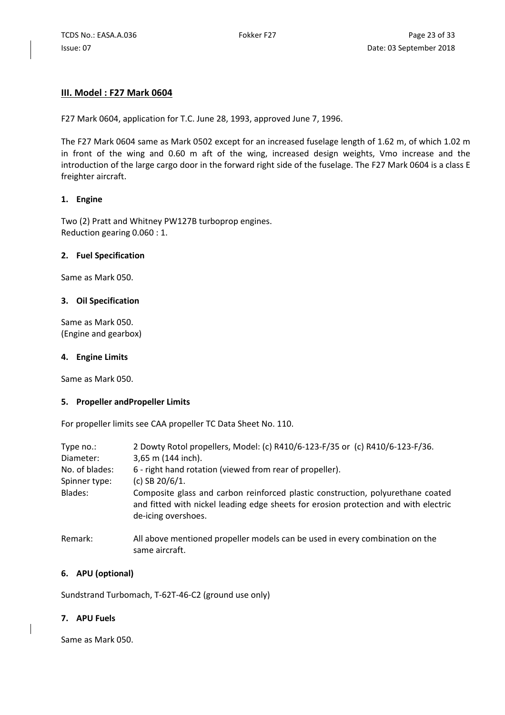## **III. Model : F27 Mark 0604**

F27 Mark 0604, application for T.C. June 28, 1993, approved June 7, 1996.

The F27 Mark 0604 same as Mark 0502 except for an increased fuselage length of 1.62 m, of which 1.02 m in front of the wing and 0.60 m aft of the wing, increased design weights, Vmo increase and the introduction of the large cargo door in the forward right side of the fuselage. The F27 Mark 0604 is a class E freighter aircraft.

#### **1. Engine**

Two (2) Pratt and Whitney PW127B turboprop engines. Reduction gearing 0.060 : 1.

#### **2. Fuel Specification**

Same as Mark 050.

#### **3. Oil Specification**

Same as Mark 050. (Engine and gearbox)

#### **4. Engine Limits**

Same as Mark 050.

#### **5. Propeller andPropeller Limits**

For propeller limits see CAA propeller TC Data Sheet No. 110.

| Type no.:<br>Diameter:<br>No. of blades:<br>Spinner type:<br>Blades: | 2 Dowty Rotol propellers, Model: (c) R410/6-123-F/35 or (c) R410/6-123-F/36.<br>3,65 m (144 inch).<br>6 - right hand rotation (viewed from rear of propeller).<br>(c) SB $20/6/1$ .<br>Composite glass and carbon reinforced plastic construction, polyurethane coated<br>and fitted with nickel leading edge sheets for erosion protection and with electric<br>de-icing overshoes. |
|----------------------------------------------------------------------|--------------------------------------------------------------------------------------------------------------------------------------------------------------------------------------------------------------------------------------------------------------------------------------------------------------------------------------------------------------------------------------|
| Remark:                                                              | All above mentioned propeller models can be used in every combination on the                                                                                                                                                                                                                                                                                                         |

same aircraft.

#### **6. APU (optional)**

Sundstrand Turbomach, T-62T-46-C2 (ground use only)

#### **7. APU Fuels**

Same as Mark 050.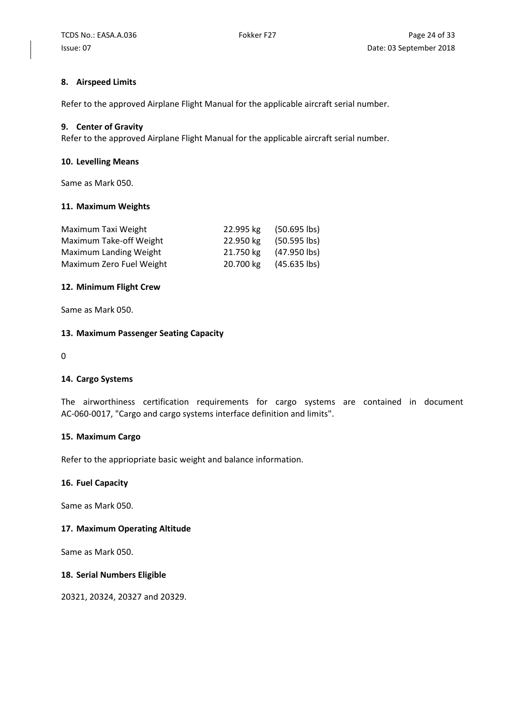### **8. Airspeed Limits**

Refer to the approved Airplane Flight Manual for the applicable aircraft serial number.

#### **9. Center of Gravity**

Refer to the approved Airplane Flight Manual for the applicable aircraft serial number.

#### **10. Levelling Means**

Same as Mark 050.

#### **11. Maximum Weights**

| Maximum Taxi Weight      | 22.995 kg | $(50.695$ lbs) |
|--------------------------|-----------|----------------|
| Maximum Take-off Weight  | 22.950 kg | $(50.595$ lbs) |
| Maximum Landing Weight   | 21.750 kg | (47.950 lbs)   |
| Maximum Zero Fuel Weight | 20.700 kg | $(45.635$ lbs) |

#### **12. Minimum Flight Crew**

Same as Mark 050.

#### **13. Maximum Passenger Seating Capacity**

0

#### **14. Cargo Systems**

The airworthiness certification requirements for cargo systems are contained in document AC-060-0017, "Cargo and cargo systems interface definition and limits".

#### **15. Maximum Cargo**

Refer to the appriopriate basic weight and balance information.

#### **16. Fuel Capacity**

Same as Mark 050.

#### **17. Maximum Operating Altitude**

Same as Mark 050.

#### **18. Serial Numbers Eligible**

20321, 20324, 20327 and 20329.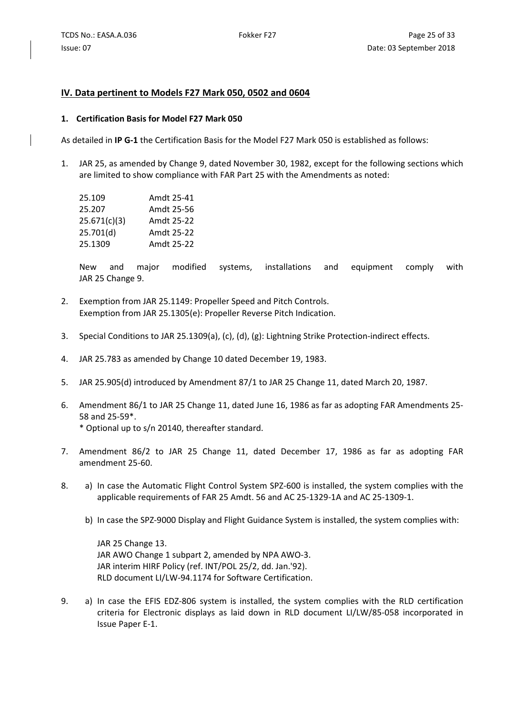### **IV. Data pertinent to Models F27 Mark 050, 0502 and 0604**

#### **1. Certification Basis for Model F27 Mark 050**

As detailed in **IP G-1** the Certification Basis for the Model F27 Mark 050 is established as follows:

1. JAR 25, as amended by Change 9, dated November 30, 1982, except for the following sections which are limited to show compliance with FAR Part 25 with the Amendments as noted:

| 25.109       | Amdt 25-41 |
|--------------|------------|
| 25.207       | Amdt 25-56 |
| 25.671(c)(3) | Amdt 25-22 |
| 25.701(d)    | Amdt 25-22 |
| 25.1309      | Amdt 25-22 |

New and major modified systems, installations and equipment comply with JAR 25 Change 9.

- 2. Exemption from JAR 25.1149: Propeller Speed and Pitch Controls. Exemption from JAR 25.1305(e): Propeller Reverse Pitch Indication.
- 3. Special Conditions to JAR 25.1309(a), (c), (d), (g): Lightning Strike Protection-indirect effects.
- 4. JAR 25.783 as amended by Change 10 dated December 19, 1983.
- 5. JAR 25.905(d) introduced by Amendment 87/1 to JAR 25 Change 11, dated March 20, 1987.
- 6. Amendment 86/1 to JAR 25 Change 11, dated June 16, 1986 as far as adopting FAR Amendments 25- 58 and 25-59\*. \* Optional up to s/n 20140, thereafter standard.
- 7. Amendment 86/2 to JAR 25 Change 11, dated December 17, 1986 as far as adopting FAR amendment 25-60.
- 8. a) In case the Automatic Flight Control System SPZ-600 is installed, the system complies with the applicable requirements of FAR 25 Amdt. 56 and AC 25-1329-1A and AC 25-1309-1.
	- b) In case the SPZ-9000 Display and Flight Guidance System is installed, the system complies with:

JAR 25 Change 13. JAR AWO Change 1 subpart 2, amended by NPA AWO-3. JAR interim HIRF Policy (ref. INT/POL 25/2, dd. Jan.'92). RLD document LI/LW-94.1174 for Software Certification.

9. a) In case the EFIS EDZ-806 system is installed, the system complies with the RLD certification criteria for Electronic displays as laid down in RLD document LI/LW/85-058 incorporated in Issue Paper E-1.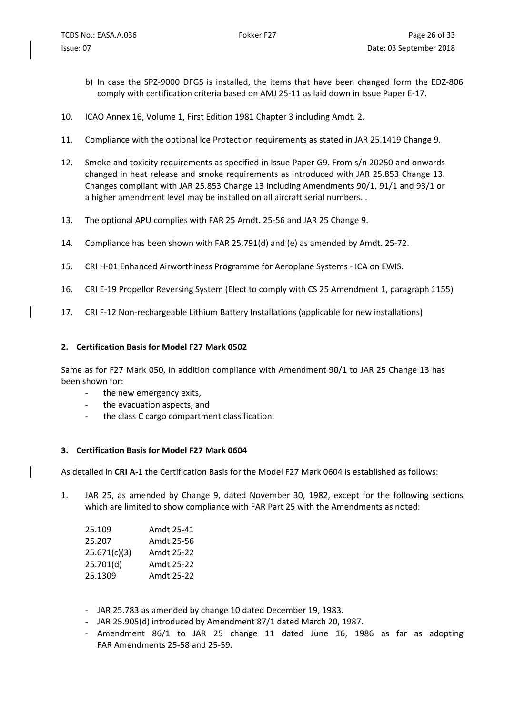- b) In case the SPZ-9000 DFGS is installed, the items that have been changed form the EDZ-806 comply with certification criteria based on AMJ 25-11 as laid down in Issue Paper E-17.
- 10. ICAO Annex 16, Volume 1, First Edition 1981 Chapter 3 including Amdt. 2.
- 11. Compliance with the optional Ice Protection requirements as stated in JAR 25.1419 Change 9.
- 12. Smoke and toxicity requirements as specified in Issue Paper G9. From s/n 20250 and onwards changed in heat release and smoke requirements as introduced with JAR 25.853 Change 13. Changes compliant with JAR 25.853 Change 13 including Amendments 90/1, 91/1 and 93/1 or a higher amendment level may be installed on all aircraft serial numbers. .
- 13. The optional APU complies with FAR 25 Amdt. 25-56 and JAR 25 Change 9.
- 14. Compliance has been shown with FAR 25.791(d) and (e) as amended by Amdt. 25-72.
- 15. CRI H-01 Enhanced Airworthiness Programme for Aeroplane Systems ICA on EWIS.
- 16. CRI E-19 Propellor Reversing System (Elect to comply with CS 25 Amendment 1, paragraph 1155)
- 17. CRI F-12 Non-rechargeable Lithium Battery Installations (applicable for new installations)

#### **2. Certification Basis for Model F27 Mark 0502**

Same as for F27 Mark 050, in addition compliance with Amendment 90/1 to JAR 25 Change 13 has been shown for:

- the new emergency exits,
- the evacuation aspects, and
- the class C cargo compartment classification.

#### **3. Certification Basis for Model F27 Mark 0604**

As detailed in **CRI A-1** the Certification Basis for the Model F27 Mark 0604 is established as follows:

1. JAR 25, as amended by Change 9, dated November 30, 1982, except for the following sections which are limited to show compliance with FAR Part 25 with the Amendments as noted:

| 25.109       | Amdt 25-41 |
|--------------|------------|
| 25.207       | Amdt 25-56 |
| 25.671(c)(3) | Amdt 25-22 |
| 25.701(d)    | Amdt 25-22 |
| 25.1309      | Amdt 25-22 |

- JAR 25.783 as amended by change 10 dated December 19, 1983.
- JAR 25.905(d) introduced by Amendment 87/1 dated March 20, 1987.
- Amendment 86/1 to JAR 25 change 11 dated June 16, 1986 as far as adopting FAR Amendments 25-58 and 25-59.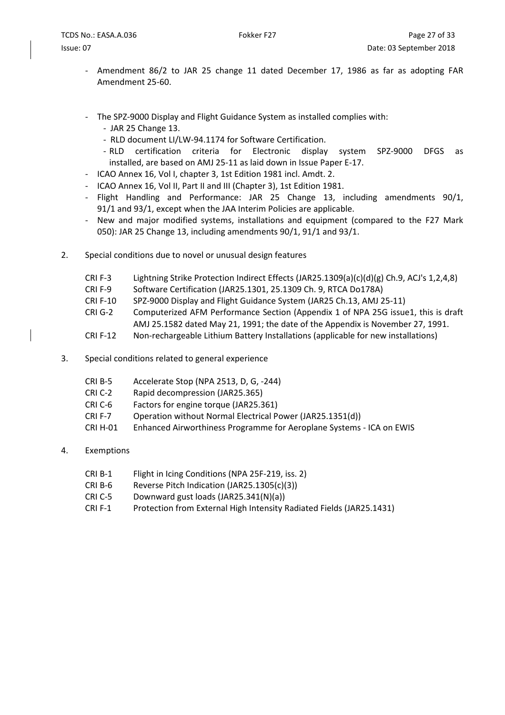- Amendment 86/2 to JAR 25 change 11 dated December 17, 1986 as far as adopting FAR Amendment 25-60.
- The SPZ-9000 Display and Flight Guidance System as installed complies with:
	- JAR 25 Change 13.
	- RLD document LI/LW-94.1174 for Software Certification.
	- RLD certification criteria for Electronic display system SPZ-9000 DFGS as installed, are based on AMJ 25-11 as laid down in Issue Paper E-17.
- ICAO Annex 16, Vol I, chapter 3, 1st Edition 1981 incl. Amdt. 2.
- ICAO Annex 16, Vol II, Part II and III (Chapter 3), 1st Edition 1981.
- Flight Handling and Performance: JAR 25 Change 13, including amendments 90/1, 91/1 and 93/1, except when the JAA Interim Policies are applicable.
- New and major modified systems, installations and equipment (compared to the F27 Mark 050): JAR 25 Change 13, including amendments 90/1, 91/1 and 93/1.
- 2. Special conditions due to novel or unusual design features
	- CRI F-3 Lightning Strike Protection Indirect Effects (JAR25.1309(a)(c)(d)(g) Ch.9, ACJ's 1,2,4,8)
	- CRI F-9 Software Certification (JAR25.1301, 25.1309 Ch. 9, RTCA Do178A)
	- CRI F-10 SPZ-9000 Display and Flight Guidance System (JAR25 Ch.13, AMJ 25-11)
	- CRI G-2 Computerized AFM Performance Section (Appendix 1 of NPA 25G issue1, this is draft AMJ 25.1582 dated May 21, 1991; the date of the Appendix is November 27, 1991.
	- CRI F-12 Non-rechargeable Lithium Battery Installations (applicable for new installations)
- 3. Special conditions related to general experience
	- CRI B-5 Accelerate Stop (NPA 2513, D, G, -244)
	- CRI C-2 Rapid decompression (JAR25.365)
	- CRI C-6 Factors for engine torque (JAR25.361)
	- CRI F-7 Operation without Normal Electrical Power (JAR25.1351(d))
	- CRI H-01 Enhanced Airworthiness Programme for Aeroplane Systems ICA on EWIS
- 4. Exemptions
	- CRI B-1 Flight in Icing Conditions (NPA 25F-219, iss. 2)
	- CRI B-6 Reverse Pitch Indication (JAR25.1305(c)(3))
	- CRI C-5 Downward gust loads (JAR25.341(N)(a))
	- CRI F-1 Protection from External High Intensity Radiated Fields (JAR25.1431)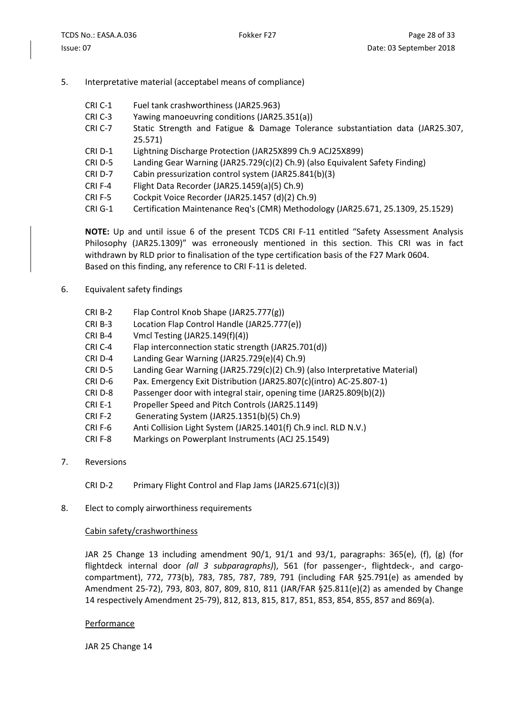- 5. Interpretative material (acceptabel means of compliance)
	- CRI C-1 Fuel tank crashworthiness (JAR25.963)
	- CRI C-3 Yawing manoeuvring conditions (JAR25.351(a))
	- CRI C-7 Static Strength and Fatigue & Damage Tolerance substantiation data (JAR25.307, 25.571)
	- CRI D-1 Lightning Discharge Protection (JAR25X899 Ch.9 ACJ25X899)
	- CRI D-5 Landing Gear Warning (JAR25.729(c)(2) Ch.9) (also Equivalent Safety Finding)
	- CRI D-7 Cabin pressurization control system (JAR25.841(b)(3)
	- CRI F-4 Flight Data Recorder (JAR25.1459(a)(5) Ch.9)
	- CRI F-5 Cockpit Voice Recorder (JAR25.1457 (d)(2) Ch.9)
	- CRI G-1 Certification Maintenance Req's (CMR) Methodology (JAR25.671, 25.1309, 25.1529)

**NOTE:** Up and until issue 6 of the present TCDS CRI F-11 entitled "Safety Assessment Analysis Philosophy (JAR25.1309)" was erroneously mentioned in this section. This CRI was in fact withdrawn by RLD prior to finalisation of the type certification basis of the F27 Mark 0604. Based on this finding, any reference to CRI F-11 is deleted.

- 6. Equivalent safety findings
	- CRI B-2 Flap Control Knob Shape (JAR25.777(g))
	- CRI B-3 Location Flap Control Handle (JAR25.777(e))
	- CRI B-4 Vmcl Testing (JAR25.149(f)(4))
	- CRI C-4 Flap interconnection static strength (JAR25.701(d))
	- CRI D-4 Landing Gear Warning (JAR25.729(e)(4) Ch.9)
	- CRI D-5 Landing Gear Warning (JAR25.729(c)(2) Ch.9) (also Interpretative Material)
	- CRI D-6 Pax. Emergency Exit Distribution (JAR25.807(c)(intro) AC-25.807-1)
	- CRI D-8 Passenger door with integral stair, opening time (JAR25.809(b)(2))
	- CRI E-1 Propeller Speed and Pitch Controls (JAR25.1149)
	- CRI F-2 Generating System (JAR25.1351(b)(5) Ch.9)
	- CRI F-6 Anti Collision Light System (JAR25.1401(f) Ch.9 incl. RLD N.V.)
	- CRI F-8 Markings on Powerplant Instruments (ACJ 25.1549)
- 7. Reversions
	- CRI D-2 Primary Flight Control and Flap Jams (JAR25.671(c)(3))
- 8. Elect to comply airworthiness requirements

#### Cabin safety/crashworthiness

JAR 25 Change 13 including amendment  $90/1$ ,  $91/1$  and  $93/1$ , paragraphs:  $365(e)$ , (f), (g) (for flightdeck internal door *(all 3 subparagraphs)*), 561 (for passenger-, flightdeck-, and cargocompartment), 772, 773(b), 783, 785, 787, 789, 791 (including FAR §25.791(e) as amended by Amendment 25-72), 793, 803, 807, 809, 810, 811 (JAR/FAR §25.811(e)(2) as amended by Change 14 respectively Amendment 25-79), 812, 813, 815, 817, 851, 853, 854, 855, 857 and 869(a).

#### Performance

JAR 25 Change 14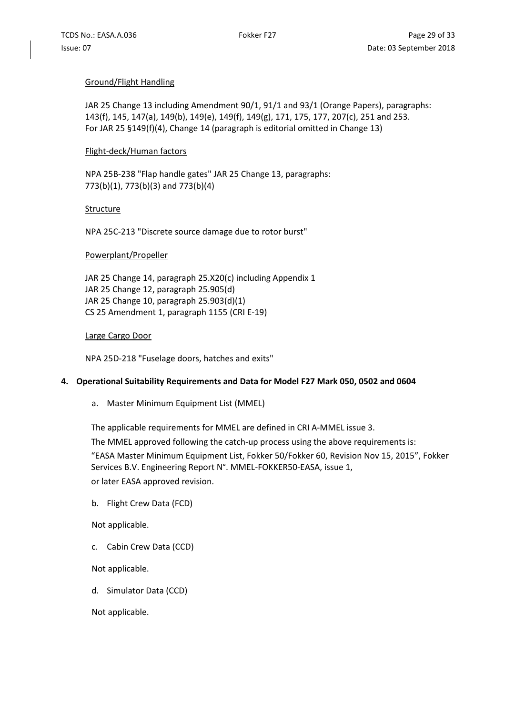## Ground/Flight Handling

JAR 25 Change 13 including Amendment 90/1, 91/1 and 93/1 (Orange Papers), paragraphs: 143(f), 145, 147(a), 149(b), 149(e), 149(f), 149(g), 171, 175, 177, 207(c), 251 and 253. For JAR 25 §149(f)(4), Change 14 (paragraph is editorial omitted in Change 13)

#### Flight-deck/Human factors

NPA 25B-238 "Flap handle gates" JAR 25 Change 13, paragraphs: 773(b)(1), 773(b)(3) and 773(b)(4)

#### **Structure**

NPA 25C-213 "Discrete source damage due to rotor burst"

#### Powerplant/Propeller

JAR 25 Change 14, paragraph 25.X20(c) including Appendix 1 JAR 25 Change 12, paragraph 25.905(d) JAR 25 Change 10, paragraph 25.903(d)(1) CS 25 Amendment 1, paragraph 1155 (CRI E-19)

#### Large Cargo Door

NPA 25D-218 "Fuselage doors, hatches and exits"

#### **4. Operational Suitability Requirements and Data for Model F27 Mark 050, 0502 and 0604**

a. Master Minimum Equipment List (MMEL)

The applicable requirements for MMEL are defined in CRI A-MMEL issue 3. The MMEL approved following the catch-up process using the above requirements is: "EASA Master Minimum Equipment List, Fokker 50/Fokker 60, Revision Nov 15, 2015", Fokker Services B.V. Engineering Report N°. MMEL-FOKKER50-EASA, issue 1, or later EASA approved revision.

b. Flight Crew Data (FCD)

Not applicable.

c. Cabin Crew Data (CCD)

Not applicable.

d. Simulator Data (CCD)

Not applicable.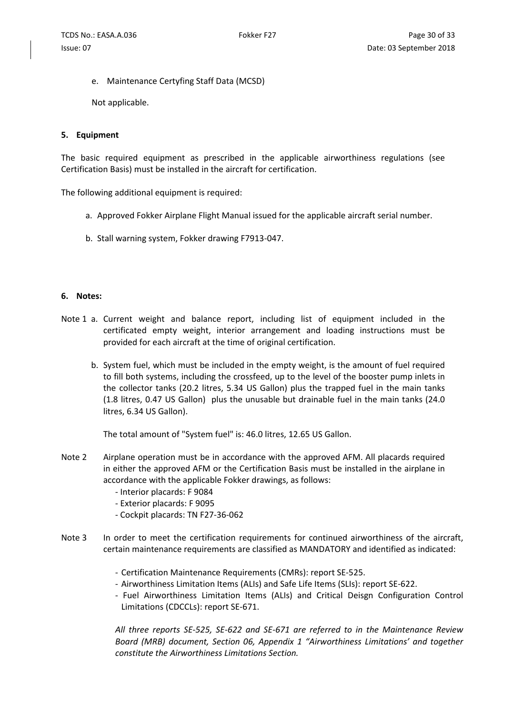e. Maintenance Certyfing Staff Data (MCSD)

Not applicable.

#### **5. Equipment**

The basic required equipment as prescribed in the applicable airworthiness regulations (see Certification Basis) must be installed in the aircraft for certification.

The following additional equipment is required:

- a. Approved Fokker Airplane Flight Manual issued for the applicable aircraft serial number.
- b. Stall warning system, Fokker drawing F7913-047.

#### **6. Notes:**

- Note 1 a. Current weight and balance report, including list of equipment included in the certificated empty weight, interior arrangement and loading instructions must be provided for each aircraft at the time of original certification.
	- b. System fuel, which must be included in the empty weight, is the amount of fuel required to fill both systems, including the crossfeed, up to the level of the booster pump inlets in the collector tanks (20.2 litres, 5.34 US Gallon) plus the trapped fuel in the main tanks (1.8 litres, 0.47 US Gallon) plus the unusable but drainable fuel in the main tanks (24.0 litres, 6.34 US Gallon).

The total amount of "System fuel" is: 46.0 litres, 12.65 US Gallon.

- Note 2 Airplane operation must be in accordance with the approved AFM. All placards required in either the approved AFM or the Certification Basis must be installed in the airplane in accordance with the applicable Fokker drawings, as follows:
	- Interior placards: F 9084
	- Exterior placards: F 9095
	- Cockpit placards: TN F27-36-062
- Note 3 In order to meet the certification requirements for continued airworthiness of the aircraft, certain maintenance requirements are classified as MANDATORY and identified as indicated:
	- Certification Maintenance Requirements (CMRs): report SE-525.
	- Airworthiness Limitation Items (ALIs) and Safe Life Items (SLIs): report SE-622.
	- Fuel Airworthiness Limitation Items (ALIs) and Critical Deisgn Configuration Control Limitations (CDCCLs): report SE-671.

*All three reports SE-525, SE-622 and SE-671 are referred to in the Maintenance Review Board (MRB) document, Section 06, Appendix 1 "Airworthiness Limitations' and together constitute the Airworthiness Limitations Section.*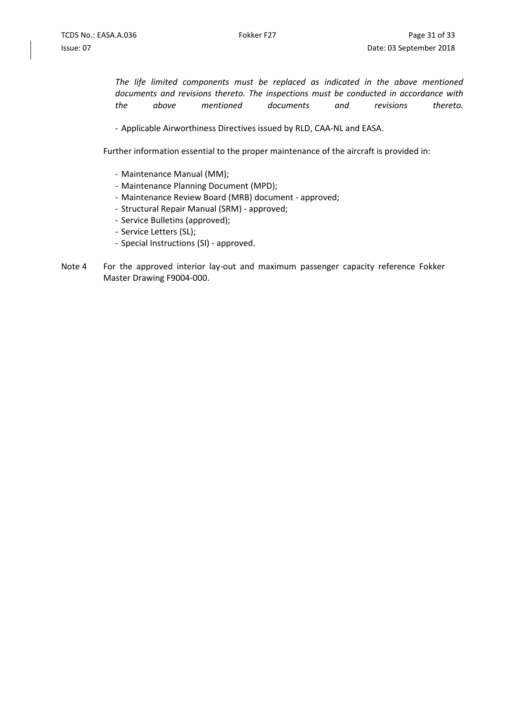*The life limited components must be replaced as indicated in the above mentioned documents and revisions thereto. The inspections must be conducted in accordance with the above mentioned documents and revisions thereto.* 

- Applicable Airworthiness Directives issued by RLD, CAA-NL and EASA.

Further information essential to the proper maintenance of the aircraft is provided in:

- Maintenance Manual (MM);
- Maintenance Planning Document (MPD);
- Maintenance Review Board (MRB) document approved;
- Structural Repair Manual (SRM) approved;
- Service Bulletins (approved);
- Service Letters (SL);
- Special Instructions (SI) approved.
- Note 4 For the approved interior lay-out and maximum passenger capacity reference Fokker Master Drawing F9004-000.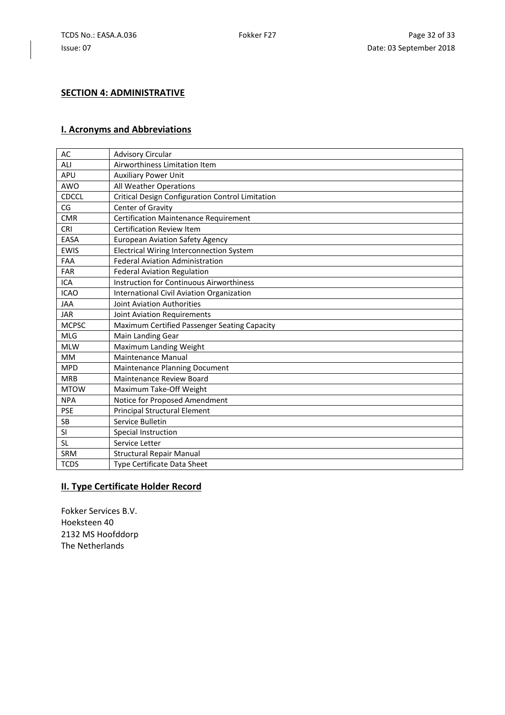## **SECTION 4: ADMINISTRATIVE**

## **I. Acronyms and Abbreviations**

| AC           | <b>Advisory Circular</b>                         |  |
|--------------|--------------------------------------------------|--|
| ALI          | Airworthiness Limitation Item                    |  |
| APU          | <b>Auxiliary Power Unit</b>                      |  |
| AWO          | All Weather Operations                           |  |
| <b>CDCCL</b> | Critical Design Configuration Control Limitation |  |
| CG           | Center of Gravity                                |  |
| <b>CMR</b>   | <b>Certification Maintenance Requirement</b>     |  |
| CRI          | <b>Certification Review Item</b>                 |  |
| EASA         | <b>European Aviation Safety Agency</b>           |  |
| <b>EWIS</b>  | <b>Electrical Wiring Interconnection System</b>  |  |
| FAA          | <b>Federal Aviation Administration</b>           |  |
| <b>FAR</b>   | <b>Federal Aviation Regulation</b>               |  |
| <b>ICA</b>   | <b>Instruction for Continuous Airworthiness</b>  |  |
| <b>ICAO</b>  | International Civil Aviation Organization        |  |
| <b>JAA</b>   | <b>Joint Aviation Authorities</b>                |  |
| <b>JAR</b>   | Joint Aviation Requirements                      |  |
| <b>MCPSC</b> | Maximum Certified Passenger Seating Capacity     |  |
| <b>MLG</b>   | Main Landing Gear                                |  |
| <b>MLW</b>   | Maximum Landing Weight                           |  |
| <b>MM</b>    | <b>Maintenance Manual</b>                        |  |
| <b>MPD</b>   | Maintenance Planning Document                    |  |
| <b>MRB</b>   | Maintenance Review Board                         |  |
| <b>MTOW</b>  | Maximum Take-Off Weight                          |  |
| <b>NPA</b>   | Notice for Proposed Amendment                    |  |
| <b>PSE</b>   | <b>Principal Structural Element</b>              |  |
| <b>SB</b>    | Service Bulletin                                 |  |
| <b>SI</b>    | Special Instruction                              |  |
| <b>SL</b>    | Service Letter                                   |  |
| <b>SRM</b>   | <b>Structural Repair Manual</b>                  |  |
| <b>TCDS</b>  | Type Certificate Data Sheet                      |  |

## **II. Type Certificate Holder Record**

Fokker Services B.V. Hoeksteen 40 2132 MS Hoofddorp The Netherlands